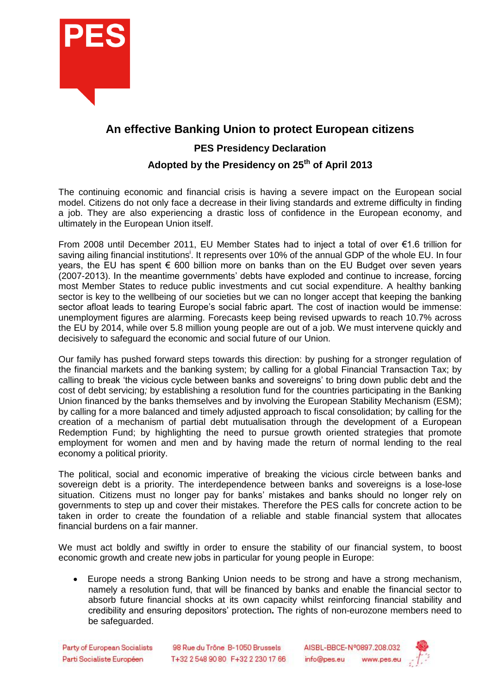

## **An effective Banking Union to protect European citizens**

## **PES Presidency Declaration**

## **Adopted by the Presidency on 25th of April 2013**

The continuing economic and financial crisis is having a severe impact on the European social model. Citizens do not only face a decrease in their living standards and extreme difficulty in finding a job. They are also experiencing a drastic loss of confidence in the European economy, and ultimately in the European Union itself.

From 2008 until December 2011, EU Member States had to inject a total of over €1.6 trillion for saving ailing financial institutions<sup>i</sup>. It represents over 10% of the annual GDP of the whole EU. In four years, the EU has spent € 600 billion more on banks than on the EU Budget over seven years (2007-2013). In the meantime governments' debts have exploded and continue to increase, forcing most Member States to reduce public investments and cut social expenditure. A healthy banking sector is key to the wellbeing of our societies but we can no longer accept that keeping the banking sector afloat leads to tearing Europe's social fabric apart. The cost of inaction would be immense: unemployment figures are alarming. Forecasts keep being revised upwards to reach 10.7% across the EU by 2014, while over 5.8 million young people are out of a job. We must intervene quickly and decisively to safeguard the economic and social future of our Union.

Our family has pushed forward steps towards this direction: by pushing for a stronger regulation of the financial markets and the banking system; by calling for a global Financial Transaction Tax; by calling to break 'the vicious cycle between banks and sovereigns' to bring down public debt and the cost of debt servicing*;* by establishing a resolution fund for the countries participating in the Banking Union financed by the banks themselves and by involving the European Stability Mechanism (ESM); by calling for a more balanced and timely adjusted approach to fiscal consolidation; by calling for the creation of a mechanism of partial debt mutualisation through the development of a European Redemption Fund; by highlighting the need to pursue growth oriented strategies that promote employment for women and men and by having made the return of normal lending to the real economy a political priority.

The political, social and economic imperative of breaking the vicious circle between banks and sovereign debt is a priority. The interdependence between banks and sovereigns is a lose-lose situation. Citizens must no longer pay for banks' mistakes and banks should no longer rely on governments to step up and cover their mistakes. Therefore the PES calls for concrete action to be taken in order to create the foundation of a reliable and stable financial system that allocates financial burdens on a fair manner.

We must act boldly and swiftly in order to ensure the stability of our financial system, to boost economic growth and create new jobs in particular for young people in Europe:

 Europe needs a strong Banking Union needs to be strong and have a strong mechanism, namely a resolution fund, that will be financed by banks and enable the financial sector to absorb future financial shocks at its own capacity whilst reinforcing financial stability and credibility and ensuring depositors' protection**.** The rights of non-eurozone members need to be safeguarded.